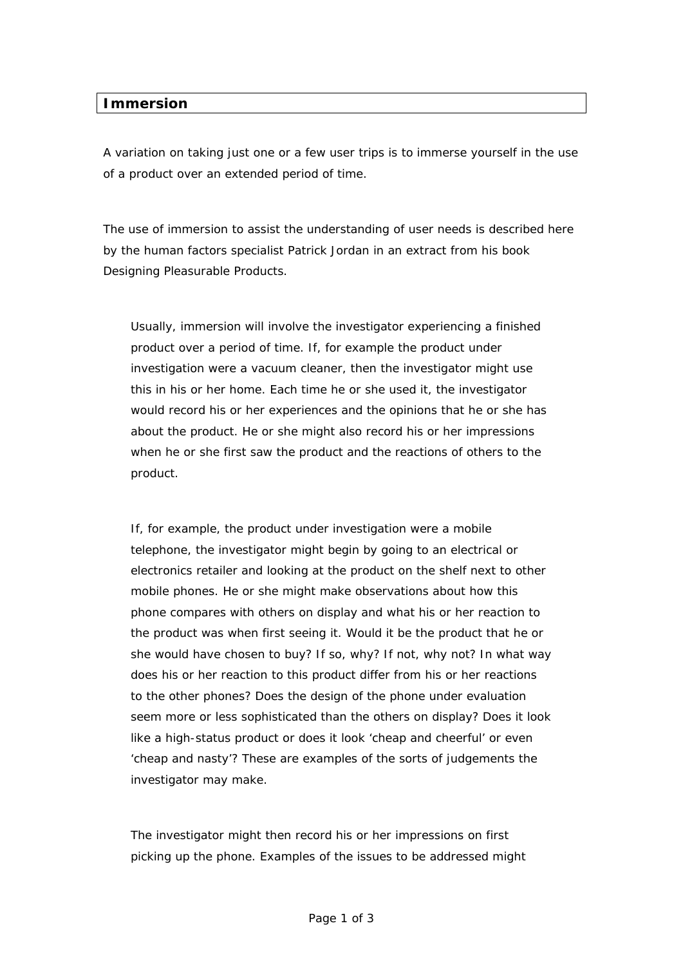## **Immersion**

A variation on taking just one or a few user trips is to *immerse* yourself in the use of a product over an extended period of time.

The use of immersion to assist the understanding of user needs is described here by the human factors specialist Patrick Jordan in an extract from his book *Designing Pleasurable Products*.

Usually, immersion will involve the investigator experiencing a finished product over a period of time. If, for example the product under investigation were a vacuum cleaner, then the investigator might use this in his or her home. Each time he or she used it, the investigator would record his or her experiences and the opinions that he or she has about the product. He or she might also record his or her impressions when he or she first saw the product and the reactions of others to the product.

If, for example, the product under investigation were a mobile telephone, the investigator might begin by going to an electrical or electronics retailer and looking at the product on the shelf next to other mobile phones. He or she might make observations about how this phone compares with others on display and what his or her reaction to the product was when first seeing it. Would it be the product that he or she would have chosen to buy? If so, why? If not, why not? In what way does his or her reaction to this product differ from his or her reactions to the other phones? Does the design of the phone under evaluation seem more or less sophisticated than the others on display? Does it look like a high-status product or does it look 'cheap and cheerful' or even 'cheap and nasty'? These are examples of the sorts of judgements the investigator may make.

The investigator might then record his or her impressions on first picking up the phone. Examples of the issues to be addressed might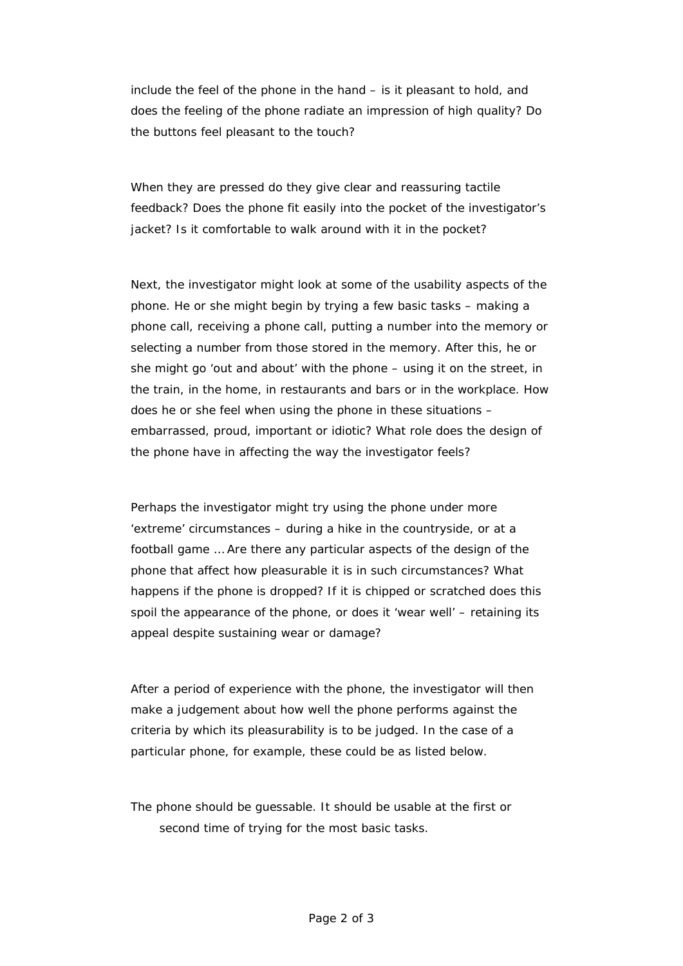include the feel of the phone in the hand – is it pleasant to hold, and does the feeling of the phone radiate an impression of high quality? Do the buttons feel pleasant to the touch?

When they are pressed do they give clear and reassuring tactile feedback? Does the phone fit easily into the pocket of the investigator's jacket? Is it comfortable to walk around with it in the pocket?

Next, the investigator might look at some of the usability aspects of the phone. He or she might begin by trying a few basic tasks – making a phone call, receiving a phone call, putting a number into the memory or selecting a number from those stored in the memory. After this, he or she might go 'out and about' with the phone – using it on the street, in the train, in the home, in restaurants and bars or in the workplace. How does he or she feel when using the phone in these situations – embarrassed, proud, important or idiotic? What role does the design of the phone have in affecting the way the investigator feels?

Perhaps the investigator might try using the phone under more 'extreme' circumstances – during a hike in the countryside, or at a football game … Are there any particular aspects of the design of the phone that affect how pleasurable it is in such circumstances? What happens if the phone is dropped? If it is chipped or scratched does this spoil the appearance of the phone, or does it 'wear well' – retaining its appeal despite sustaining wear or damage?

After a period of experience with the phone, the investigator will then make a judgement about how well the phone performs against the criteria by which its pleasurability is to be judged. In the case of a particular phone, for example, these could be as listed below.

The phone should be guessable. It should be usable at the first or second time of trying for the most basic tasks.